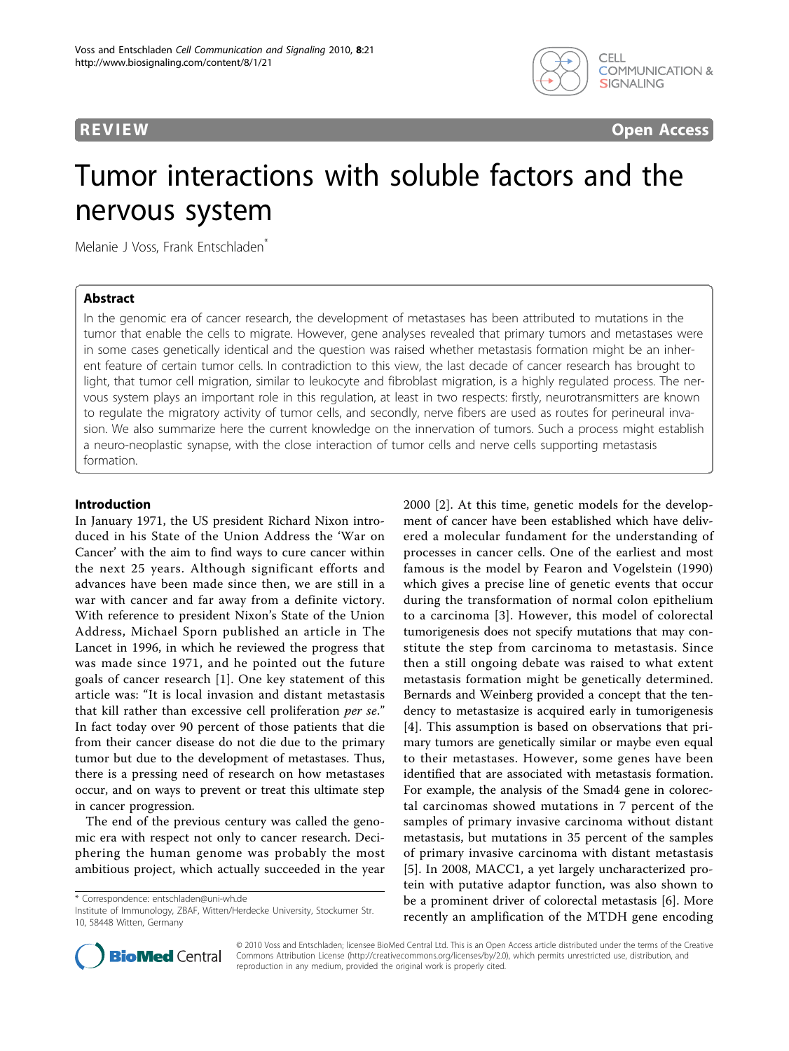

**REVIEW CONSIDERING CONSIDERING CONSIDERING CONSIDERING CONSIDERING CONSIDERING CONSIDERING CONSIDERING CONSIDERING CONSIDERING CONSIDERING CONSIDERING CONSIDERING CONSIDERING CONSIDERING CONSIDERING CONSIDERING CONSIDER** 

# Tumor interactions with soluble factors and the nervous system

Melanie J Voss, Frank Entschladen<sup>\*</sup>

# Abstract

In the genomic era of cancer research, the development of metastases has been attributed to mutations in the tumor that enable the cells to migrate. However, gene analyses revealed that primary tumors and metastases were in some cases genetically identical and the question was raised whether metastasis formation might be an inherent feature of certain tumor cells. In contradiction to this view, the last decade of cancer research has brought to light, that tumor cell migration, similar to leukocyte and fibroblast migration, is a highly regulated process. The nervous system plays an important role in this regulation, at least in two respects: firstly, neurotransmitters are known to regulate the migratory activity of tumor cells, and secondly, nerve fibers are used as routes for perineural invasion. We also summarize here the current knowledge on the innervation of tumors. Such a process might establish a neuro-neoplastic synapse, with the close interaction of tumor cells and nerve cells supporting metastasis formation.

# Introduction

In January 1971, the US president Richard Nixon introduced in his State of the Union Address the 'War on Cancer' with the aim to find ways to cure cancer within the next 25 years. Although significant efforts and advances have been made since then, we are still in a war with cancer and far away from a definite victory. With reference to president Nixon's State of the Union Address, Michael Sporn published an article in The Lancet in 1996, in which he reviewed the progress that was made since 1971, and he pointed out the future goals of cancer research [[1\]](#page-4-0). One key statement of this article was: "It is local invasion and distant metastasis that kill rather than excessive cell proliferation per se." In fact today over 90 percent of those patients that die from their cancer disease do not die due to the primary tumor but due to the development of metastases. Thus, there is a pressing need of research on how metastases occur, and on ways to prevent or treat this ultimate step in cancer progression.

The end of the previous century was called the genomic era with respect not only to cancer research. Deciphering the human genome was probably the most ambitious project, which actually succeeded in the year

\* Correspondence: [entschladen@uni-wh.de](mailto:entschladen@uni-wh.de)

2000 [[2\]](#page-4-0). At this time, genetic models for the development of cancer have been established which have delivered a molecular fundament for the understanding of processes in cancer cells. One of the earliest and most famous is the model by Fearon and Vogelstein (1990) which gives a precise line of genetic events that occur during the transformation of normal colon epithelium to a carcinoma [[3\]](#page-4-0). However, this model of colorectal tumorigenesis does not specify mutations that may constitute the step from carcinoma to metastasis. Since then a still ongoing debate was raised to what extent metastasis formation might be genetically determined. Bernards and Weinberg provided a concept that the tendency to metastasize is acquired early in tumorigenesis [[4](#page-4-0)]. This assumption is based on observations that primary tumors are genetically similar or maybe even equal to their metastases. However, some genes have been identified that are associated with metastasis formation. For example, the analysis of the Smad4 gene in colorectal carcinomas showed mutations in 7 percent of the samples of primary invasive carcinoma without distant metastasis, but mutations in 35 percent of the samples of primary invasive carcinoma with distant metastasis [[5\]](#page-4-0). In 2008, MACC1, a yet largely uncharacterized protein with putative adaptor function, was also shown to be a prominent driver of colorectal metastasis [[6\]](#page-4-0). More recently an amplification of the MTDH gene encoding



© 2010 Voss and Entschladen; licensee BioMed Central Ltd. This is an Open Access article distributed under the terms of the Creative Commons Attribution License [\(http://creativecommons.org/licenses/by/2.0](http://creativecommons.org/licenses/by/2.0)), which permits unrestricted use, distribution, and reproduction in any medium, provided the original work is properly cited.

Institute of Immunology, ZBAF, Witten/Herdecke University, Stockumer Str. 10, 58448 Witten, Germany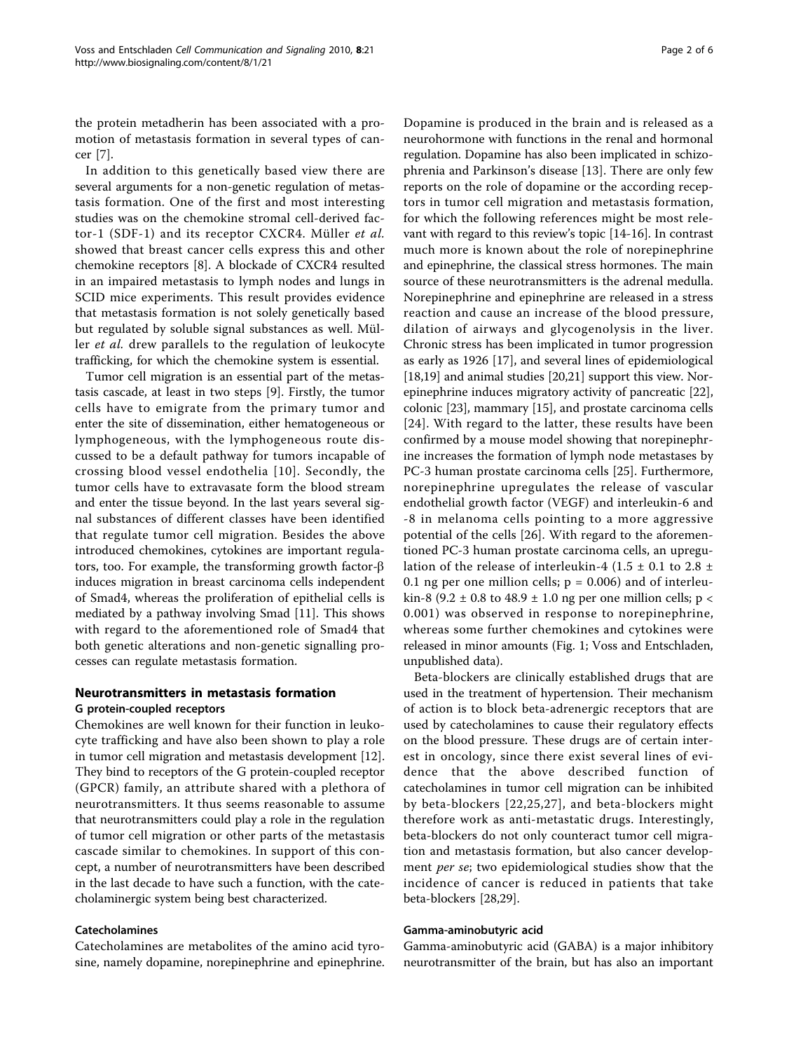the protein metadherin has been associated with a promotion of metastasis formation in several types of cancer [[7](#page-4-0)].

In addition to this genetically based view there are several arguments for a non-genetic regulation of metastasis formation. One of the first and most interesting studies was on the chemokine stromal cell-derived factor-1 (SDF-1) and its receptor CXCR4. Müller et al. showed that breast cancer cells express this and other chemokine receptors [\[8\]](#page-4-0). A blockade of CXCR4 resulted in an impaired metastasis to lymph nodes and lungs in SCID mice experiments. This result provides evidence that metastasis formation is not solely genetically based but regulated by soluble signal substances as well. Müller et al. drew parallels to the regulation of leukocyte trafficking, for which the chemokine system is essential.

Tumor cell migration is an essential part of the metastasis cascade, at least in two steps [\[9](#page-4-0)]. Firstly, the tumor cells have to emigrate from the primary tumor and enter the site of dissemination, either hematogeneous or lymphogeneous, with the lymphogeneous route discussed to be a default pathway for tumors incapable of crossing blood vessel endothelia [[10\]](#page-4-0). Secondly, the tumor cells have to extravasate form the blood stream and enter the tissue beyond. In the last years several signal substances of different classes have been identified that regulate tumor cell migration. Besides the above introduced chemokines, cytokines are important regulators, too. For example, the transforming growth factor- $\beta$ induces migration in breast carcinoma cells independent of Smad4, whereas the proliferation of epithelial cells is mediated by a pathway involving Smad [[11](#page-4-0)]. This shows with regard to the aforementioned role of Smad4 that both genetic alterations and non-genetic signalling processes can regulate metastasis formation.

# Neurotransmitters in metastasis formation G protein-coupled receptors

Chemokines are well known for their function in leukocyte trafficking and have also been shown to play a role in tumor cell migration and metastasis development [\[12](#page-4-0)]. They bind to receptors of the G protein-coupled receptor (GPCR) family, an attribute shared with a plethora of neurotransmitters. It thus seems reasonable to assume that neurotransmitters could play a role in the regulation of tumor cell migration or other parts of the metastasis cascade similar to chemokines. In support of this concept, a number of neurotransmitters have been described in the last decade to have such a function, with the catecholaminergic system being best characterized.

# Catecholamines

Catecholamines are metabolites of the amino acid tyrosine, namely dopamine, norepinephrine and epinephrine.

Dopamine is produced in the brain and is released as a neurohormone with functions in the renal and hormonal regulation. Dopamine has also been implicated in schizophrenia and Parkinson's disease [\[13](#page-4-0)]. There are only few reports on the role of dopamine or the according receptors in tumor cell migration and metastasis formation, for which the following references might be most relevant with regard to this review's topic [\[14-16](#page-4-0)]. In contrast much more is known about the role of norepinephrine and epinephrine, the classical stress hormones. The main source of these neurotransmitters is the adrenal medulla. Norepinephrine and epinephrine are released in a stress reaction and cause an increase of the blood pressure, dilation of airways and glycogenolysis in the liver. Chronic stress has been implicated in tumor progression as early as 1926 [[17\]](#page-4-0), and several lines of epidemiological [[18,19\]](#page-4-0) and animal studies [[20,21\]](#page-4-0) support this view. Norepinephrine induces migratory activity of pancreatic [\[22](#page-4-0)], colonic [\[23\]](#page-4-0), mammary [[15\]](#page-4-0), and prostate carcinoma cells [[24](#page-4-0)]. With regard to the latter, these results have been confirmed by a mouse model showing that norepinephrine increases the formation of lymph node metastases by PC-3 human prostate carcinoma cells [[25\]](#page-4-0). Furthermore, norepinephrine upregulates the release of vascular endothelial growth factor (VEGF) and interleukin-6 and -8 in melanoma cells pointing to a more aggressive potential of the cells [[26](#page-4-0)]. With regard to the aforementioned PC-3 human prostate carcinoma cells, an upregulation of the release of interleukin-4 (1.5  $\pm$  0.1 to 2.8  $\pm$ 0.1 ng per one million cells;  $p = 0.006$ ) and of interleukin-8 (9.2  $\pm$  0.8 to 48.9  $\pm$  1.0 ng per one million cells; p < 0.001) was observed in response to norepinephrine, whereas some further chemokines and cytokines were released in minor amounts (Fig. [1](#page-2-0); Voss and Entschladen, unpublished data).

Beta-blockers are clinically established drugs that are used in the treatment of hypertension. Their mechanism of action is to block beta-adrenergic receptors that are used by catecholamines to cause their regulatory effects on the blood pressure. These drugs are of certain interest in oncology, since there exist several lines of evidence that the above described function of catecholamines in tumor cell migration can be inhibited by beta-blockers [[22](#page-4-0),[25](#page-4-0),[27](#page-4-0)], and beta-blockers might therefore work as anti-metastatic drugs. Interestingly, beta-blockers do not only counteract tumor cell migration and metastasis formation, but also cancer development *per se*; two epidemiological studies show that the incidence of cancer is reduced in patients that take beta-blockers [\[28,29](#page-4-0)].

#### Gamma-aminobutyric acid

Gamma-aminobutyric acid (GABA) is a major inhibitory neurotransmitter of the brain, but has also an important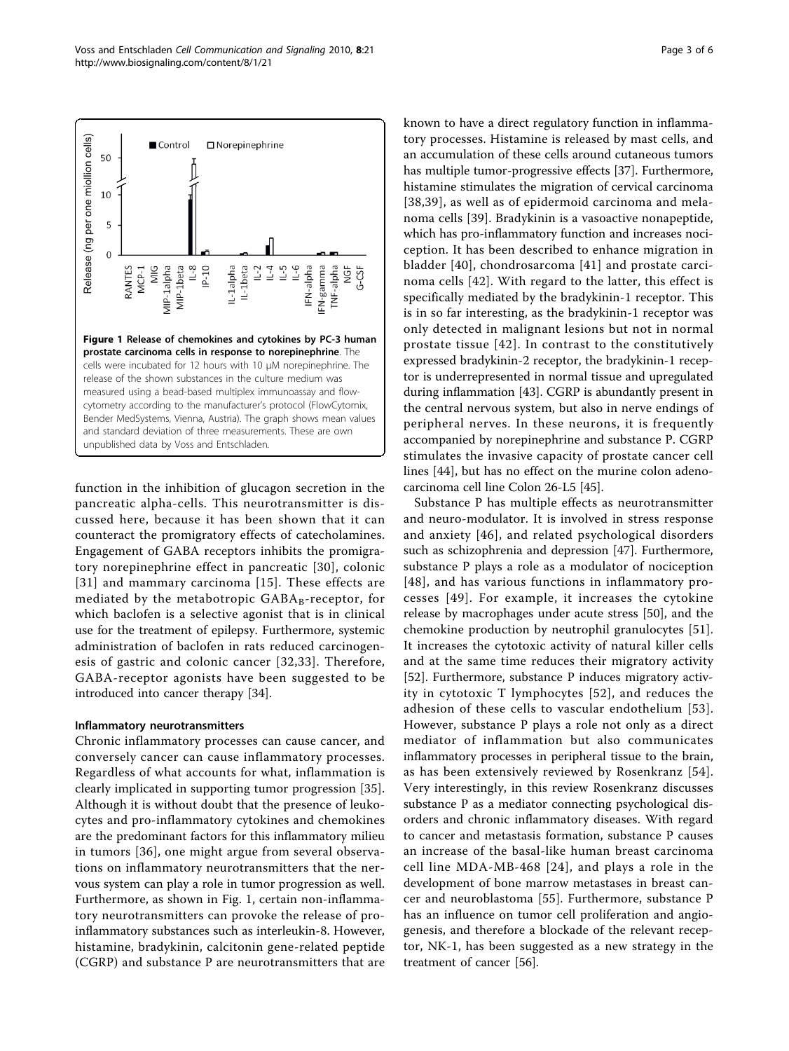function in the inhibition of glucagon secretion in the pancreatic alpha-cells. This neurotransmitter is discussed here, because it has been shown that it can counteract the promigratory effects of catecholamines. Engagement of GABA receptors inhibits the promigratory norepinephrine effect in pancreatic [\[30\]](#page-4-0), colonic [[31\]](#page-4-0) and mammary carcinoma [\[15\]](#page-4-0). These effects are mediated by the metabotropic  $GABA_B\text{-receptor}$ , for which baclofen is a selective agonist that is in clinical use for the treatment of epilepsy. Furthermore, systemic administration of baclofen in rats reduced carcinogenesis of gastric and colonic cancer [[32,33](#page-4-0)]. Therefore, GABA-receptor agonists have been suggested to be introduced into cancer therapy [\[34\]](#page-4-0).

#### Inflammatory neurotransmitters

Chronic inflammatory processes can cause cancer, and conversely cancer can cause inflammatory processes. Regardless of what accounts for what, inflammation is clearly implicated in supporting tumor progression [\[35](#page-4-0)]. Although it is without doubt that the presence of leukocytes and pro-inflammatory cytokines and chemokines are the predominant factors for this inflammatory milieu in tumors [\[36\]](#page-4-0), one might argue from several observations on inflammatory neurotransmitters that the nervous system can play a role in tumor progression as well. Furthermore, as shown in Fig. 1, certain non-inflammatory neurotransmitters can provoke the release of proinflammatory substances such as interleukin-8. However, histamine, bradykinin, calcitonin gene-related peptide (CGRP) and substance P are neurotransmitters that are known to have a direct regulatory function in inflammatory processes. Histamine is released by mast cells, and an accumulation of these cells around cutaneous tumors has multiple tumor-progressive effects [[37\]](#page-4-0). Furthermore, histamine stimulates the migration of cervical carcinoma [[38,39](#page-4-0)], as well as of epidermoid carcinoma and melanoma cells [[39\]](#page-4-0). Bradykinin is a vasoactive nonapeptide, which has pro-inflammatory function and increases nociception. It has been described to enhance migration in bladder [[40\]](#page-4-0), chondrosarcoma [[41](#page-4-0)] and prostate carcinoma cells [[42\]](#page-4-0). With regard to the latter, this effect is specifically mediated by the bradykinin-1 receptor. This is in so far interesting, as the bradykinin-1 receptor was only detected in malignant lesions but not in normal prostate tissue [[42](#page-4-0)]. In contrast to the constitutively expressed bradykinin-2 receptor, the bradykinin-1 receptor is underrepresented in normal tissue and upregulated during inflammation [[43\]](#page-4-0). CGRP is abundantly present in the central nervous system, but also in nerve endings of peripheral nerves. In these neurons, it is frequently accompanied by norepinephrine and substance P. CGRP stimulates the invasive capacity of prostate cancer cell lines [\[44](#page-4-0)], but has no effect on the murine colon adenocarcinoma cell line Colon 26-L5 [[45\]](#page-4-0).

Substance P has multiple effects as neurotransmitter and neuro-modulator. It is involved in stress response and anxiety [[46](#page-4-0)], and related psychological disorders such as schizophrenia and depression [\[47\]](#page-4-0). Furthermore, substance P plays a role as a modulator of nociception [[48\]](#page-5-0), and has various functions in inflammatory processes [[49\]](#page-5-0). For example, it increases the cytokine release by macrophages under acute stress [\[50](#page-5-0)], and the chemokine production by neutrophil granulocytes [[51](#page-5-0)]. It increases the cytotoxic activity of natural killer cells and at the same time reduces their migratory activity [[52\]](#page-5-0). Furthermore, substance P induces migratory activity in cytotoxic T lymphocytes [[52](#page-5-0)], and reduces the adhesion of these cells to vascular endothelium [\[53](#page-5-0)]. However, substance P plays a role not only as a direct mediator of inflammation but also communicates inflammatory processes in peripheral tissue to the brain, as has been extensively reviewed by Rosenkranz [[54](#page-5-0)]. Very interestingly, in this review Rosenkranz discusses substance P as a mediator connecting psychological disorders and chronic inflammatory diseases. With regard to cancer and metastasis formation, substance P causes an increase of the basal-like human breast carcinoma cell line MDA-MB-468 [[24\]](#page-4-0), and plays a role in the development of bone marrow metastases in breast cancer and neuroblastoma [[55\]](#page-5-0). Furthermore, substance P has an influence on tumor cell proliferation and angiogenesis, and therefore a blockade of the relevant receptor, NK-1, has been suggested as a new strategy in the treatment of cancer [[56\]](#page-5-0).

<span id="page-2-0"></span>Release (ng per one miollion cells) Control  $\Box$  Norepinephrine 50 10 5  $\overline{0}$  $1 - 8$  $IP-10$ IFN-alpha FN-gamma TNF-alpha  $MCP-1$  $L-2$  $L - 4$  $1 - 6$ RANTES MIG VIP-1alpha MIP-1beta IL-1alpha IL-1beta  $1 - 5$ **J**SP Figure 1 Release of chemokines and cytokines by PC-3 human prostate carcinoma cells in response to norepinephrine. The cells were incubated for 12 hours with 10 μM norepinephrine. The release of the shown substances in the culture medium was measured using a bead-based multiplex immunoassay and flowcytometry according to the manufacturer's protocol (FlowCytomix, Bender MedSystems, Vienna, Austria). The graph shows mean values and standard deviation of three measurements. These are own unpublished data by Voss and Entschladen.

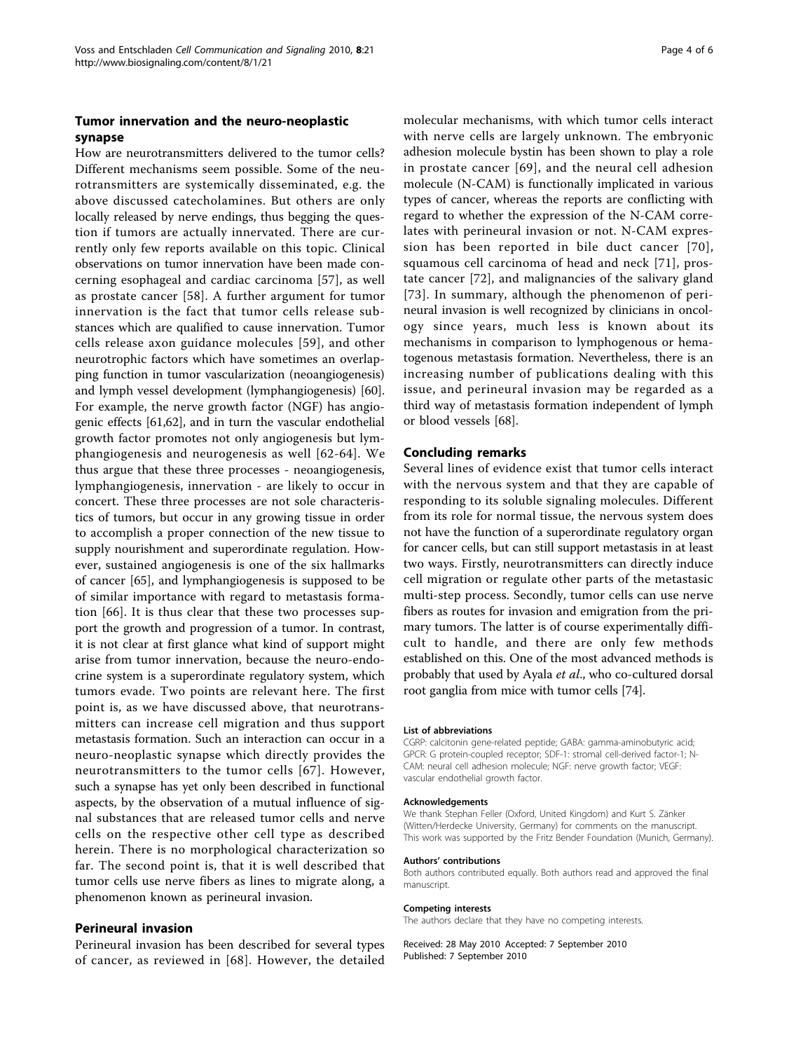# Tumor innervation and the neuro-neoplastic synapse

How are neurotransmitters delivered to the tumor cells? Different mechanisms seem possible. Some of the neurotransmitters are systemically disseminated, e.g. the above discussed catecholamines. But others are only locally released by nerve endings, thus begging the question if tumors are actually innervated. There are currently only few reports available on this topic. Clinical observations on tumor innervation have been made concerning esophageal and cardiac carcinoma [[57\]](#page-5-0), as well as prostate cancer [\[58](#page-5-0)]. A further argument for tumor innervation is the fact that tumor cells release substances which are qualified to cause innervation. Tumor cells release axon guidance molecules [[59](#page-5-0)], and other neurotrophic factors which have sometimes an overlapping function in tumor vascularization (neoangiogenesis) and lymph vessel development (lymphangiogenesis) [\[60](#page-5-0)]. For example, the nerve growth factor (NGF) has angiogenic effects [\[61,62](#page-5-0)], and in turn the vascular endothelial growth factor promotes not only angiogenesis but lymphangiogenesis and neurogenesis as well [[62](#page-5-0)-[64\]](#page-5-0). We thus argue that these three processes - neoangiogenesis, lymphangiogenesis, innervation - are likely to occur in concert. These three processes are not sole characteristics of tumors, but occur in any growing tissue in order to accomplish a proper connection of the new tissue to supply nourishment and superordinate regulation. However, sustained angiogenesis is one of the six hallmarks of cancer [\[65](#page-5-0)], and lymphangiogenesis is supposed to be of similar importance with regard to metastasis formation [\[66](#page-5-0)]. It is thus clear that these two processes support the growth and progression of a tumor. In contrast, it is not clear at first glance what kind of support might arise from tumor innervation, because the neuro-endocrine system is a superordinate regulatory system, which tumors evade. Two points are relevant here. The first point is, as we have discussed above, that neurotransmitters can increase cell migration and thus support metastasis formation. Such an interaction can occur in a neuro-neoplastic synapse which directly provides the neurotransmitters to the tumor cells [[67](#page-5-0)]. However, such a synapse has yet only been described in functional aspects, by the observation of a mutual influence of signal substances that are released tumor cells and nerve cells on the respective other cell type as described herein. There is no morphological characterization so far. The second point is, that it is well described that tumor cells use nerve fibers as lines to migrate along, a phenomenon known as perineural invasion.

# Perineural invasion

Perineural invasion has been described for several types of cancer, as reviewed in [[68](#page-5-0)]. However, the detailed molecular mechanisms, with which tumor cells interact with nerve cells are largely unknown. The embryonic adhesion molecule bystin has been shown to play a role in prostate cancer [[69\]](#page-5-0), and the neural cell adhesion molecule (N-CAM) is functionally implicated in various types of cancer, whereas the reports are conflicting with regard to whether the expression of the N-CAM correlates with perineural invasion or not. N-CAM expression has been reported in bile duct cancer [[70\]](#page-5-0), squamous cell carcinoma of head and neck [\[71](#page-5-0)], prostate cancer [[72\]](#page-5-0), and malignancies of the salivary gland [[73\]](#page-5-0). In summary, although the phenomenon of perineural invasion is well recognized by clinicians in oncology since years, much less is known about its mechanisms in comparison to lymphogenous or hematogenous metastasis formation. Nevertheless, there is an increasing number of publications dealing with this issue, and perineural invasion may be regarded as a third way of metastasis formation independent of lymph or blood vessels [\[68](#page-5-0)].

### Concluding remarks

Several lines of evidence exist that tumor cells interact with the nervous system and that they are capable of responding to its soluble signaling molecules. Different from its role for normal tissue, the nervous system does not have the function of a superordinate regulatory organ for cancer cells, but can still support metastasis in at least two ways. Firstly, neurotransmitters can directly induce cell migration or regulate other parts of the metastasic multi-step process. Secondly, tumor cells can use nerve fibers as routes for invasion and emigration from the primary tumors. The latter is of course experimentally difficult to handle, and there are only few methods established on this. One of the most advanced methods is probably that used by Ayala et al., who co-cultured dorsal root ganglia from mice with tumor cells [\[74](#page-5-0)].

#### List of abbreviations

CGRP: calcitonin gene-related peptide; GABA: gamma-aminobutyric acid; GPCR: G protein-coupled receptor; SDF-1: stromal cell-derived factor-1; N-CAM: neural cell adhesion molecule; NGF: nerve growth factor; VEGF: vascular endothelial growth factor.

#### Acknowledgements

We thank Stephan Feller (Oxford, United Kingdom) and Kurt S. Zänker (Witten/Herdecke University, Germany) for comments on the manuscript. This work was supported by the Fritz Bender Foundation (Munich, Germany).

#### Authors' contributions

Both authors contributed equally. Both authors read and approved the final manuscript.

#### Competing interests

The authors declare that they have no competing interests.

Received: 28 May 2010 Accepted: 7 September 2010 Published: 7 September 2010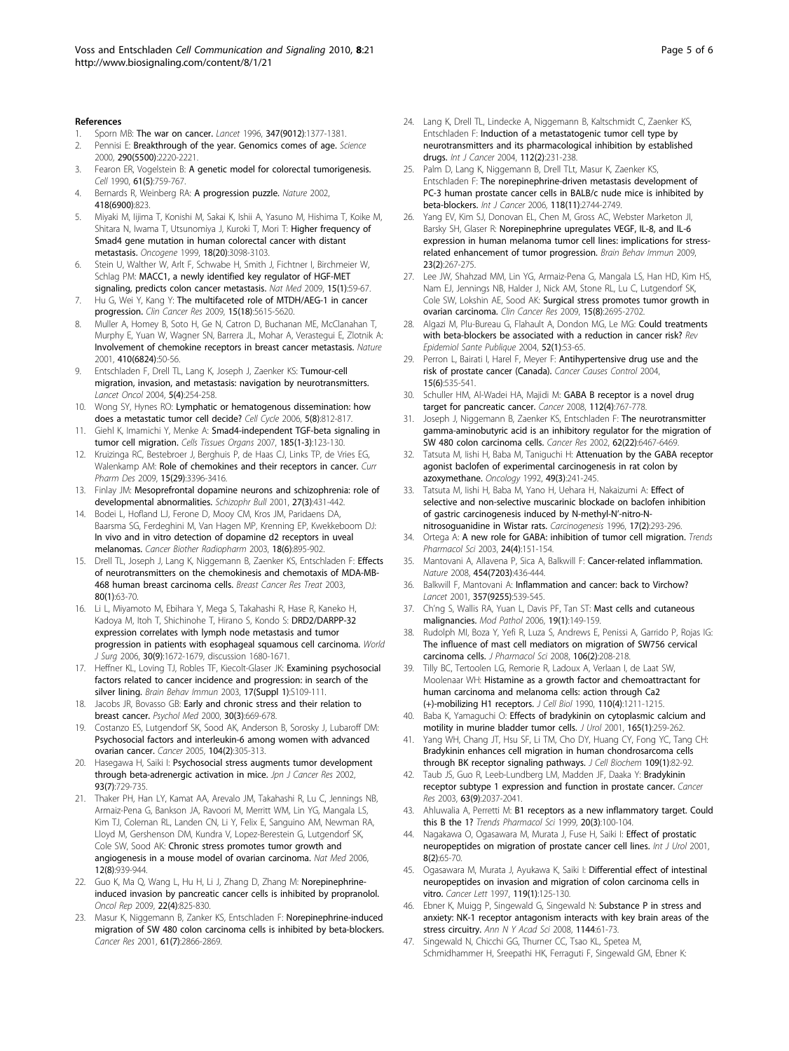#### <span id="page-4-0"></span>References

- 1. Sporn MB: [The war on cancer.](http://www.ncbi.nlm.nih.gov/pubmed/8637346?dopt=Abstract) Lancet 1996, 347(9012):1377-1381.
- 2. Pennisi E: [Breakthrough of the year. Genomics comes of age.](http://www.ncbi.nlm.nih.gov/pubmed/11188701?dopt=Abstract) Science 2000, 290(5500):2220-2221.
- 3. Fearon ER, Vogelstein B: [A genetic model for colorectal tumorigenesis.](http://www.ncbi.nlm.nih.gov/pubmed/2188735?dopt=Abstract) Cell 1990, 61(5):759-767.
- 4. Bernards R, Weinberg RA: [A progression puzzle.](http://www.ncbi.nlm.nih.gov/pubmed/12192390?dopt=Abstract) Nature 2002, 418(6900):823.
- 5. Miyaki M, Iijima T, Konishi M, Sakai K, Ishii A, Yasuno M, Hishima T, Koike M, Shitara N, Iwama T, Utsunomiya J, Kuroki T, Mori T: [Higher frequency of](http://www.ncbi.nlm.nih.gov/pubmed/10340381?dopt=Abstract) [Smad4 gene mutation in human colorectal cancer with distant](http://www.ncbi.nlm.nih.gov/pubmed/10340381?dopt=Abstract) [metastasis.](http://www.ncbi.nlm.nih.gov/pubmed/10340381?dopt=Abstract) Oncogene 1999, 18(20):3098-3103.
- 6. Stein U, Walther W, Arlt F, Schwabe H, Smith J, Fichtner I, Birchmeier W, Schlag PM: [MACC1, a newly identified key regulator of HGF-MET](http://www.ncbi.nlm.nih.gov/pubmed/19098908?dopt=Abstract) [signaling, predicts colon cancer metastasis.](http://www.ncbi.nlm.nih.gov/pubmed/19098908?dopt=Abstract) Nat Med 2009, 15(1):59-67.
- 7. Hu G, Wei Y, Kang Y: [The multifaceted role of MTDH/AEG-1 in cancer](http://www.ncbi.nlm.nih.gov/pubmed/19723648?dopt=Abstract) [progression.](http://www.ncbi.nlm.nih.gov/pubmed/19723648?dopt=Abstract) Clin Cancer Res 2009, 15(18):5615-5620.
- 8. Muller A, Homey B, Soto H, Ge N, Catron D, Buchanan ME, McClanahan T, Murphy E, Yuan W, Wagner SN, Barrera JL, Mohar A, Verastegui E, Zlotnik A: [Involvement of chemokine receptors in breast cancer metastasis.](http://www.ncbi.nlm.nih.gov/pubmed/11242036?dopt=Abstract) Nature 2001, 410(6824):50-56.
- Entschladen F, Drell TL, Lang K, Joseph J, Zaenker KS: [Tumour-cell](http://www.ncbi.nlm.nih.gov/pubmed/15050959?dopt=Abstract) [migration, invasion, and metastasis: navigation by neurotransmitters.](http://www.ncbi.nlm.nih.gov/pubmed/15050959?dopt=Abstract) Lancet Oncol 2004, 5(4):254-258.
- 10. Wong SY, Hynes RO: [Lymphatic or hematogenous dissemination: how](http://www.ncbi.nlm.nih.gov/pubmed/16627996?dopt=Abstract) [does a metastatic tumor cell decide?](http://www.ncbi.nlm.nih.gov/pubmed/16627996?dopt=Abstract) Cell Cycle 2006, 5(8):812-817.
- 11. Giehl K, Imamichi Y, Menke A: [Smad4-independent TGF-beta signaling in](http://www.ncbi.nlm.nih.gov/pubmed/17587818?dopt=Abstract) [tumor cell migration.](http://www.ncbi.nlm.nih.gov/pubmed/17587818?dopt=Abstract) Cells Tissues Organs 2007, 185(1-3):123-130.
- 12. Kruizinga RC, Bestebroer J, Berghuis P, de Haas CJ, Links TP, de Vries EG, Walenkamp AM: [Role of chemokines and their receptors in cancer.](http://www.ncbi.nlm.nih.gov/pubmed/19860687?dopt=Abstract) Curr Pharm Des 2009, 15(29):3396-3416.
- 13. Finlay JM: [Mesoprefrontal dopamine neurons and schizophrenia: role of](http://www.ncbi.nlm.nih.gov/pubmed/11596845?dopt=Abstract) [developmental abnormalities.](http://www.ncbi.nlm.nih.gov/pubmed/11596845?dopt=Abstract) Schizophr Bull 2001, 27(3):431-442.
- 14. Bodei L, Hofland LJ, Ferone D, Mooy CM, Kros JM, Paridaens DA, Baarsma SG, Ferdeghini M, Van Hagen MP, Krenning EP, Kwekkeboom DJ: [In vivo and in vitro detection of dopamine d2 receptors in uveal](http://www.ncbi.nlm.nih.gov/pubmed/14969602?dopt=Abstract) [melanomas.](http://www.ncbi.nlm.nih.gov/pubmed/14969602?dopt=Abstract) Cancer Biother Radiopharm 2003, 18(6):895-902.
- 15. Drell TL, Joseph J, Lang K, Niggemann B, Zaenker KS, Entschladen F: [Effects](http://www.ncbi.nlm.nih.gov/pubmed/12889599?dopt=Abstract) [of neurotransmitters on the chemokinesis and chemotaxis of MDA-MB-](http://www.ncbi.nlm.nih.gov/pubmed/12889599?dopt=Abstract)[468 human breast carcinoma cells.](http://www.ncbi.nlm.nih.gov/pubmed/12889599?dopt=Abstract) Breast Cancer Res Treat 2003, 80(1):63-70.
- 16. Li L, Miyamoto M, Ebihara Y, Mega S, Takahashi R, Hase R, Kaneko H, Kadoya M, Itoh T, Shichinohe T, Hirano S, Kondo S: [DRD2/DARPP-32](http://www.ncbi.nlm.nih.gov/pubmed/16850143?dopt=Abstract) [expression correlates with lymph node metastasis and tumor](http://www.ncbi.nlm.nih.gov/pubmed/16850143?dopt=Abstract) [progression in patients with esophageal squamous cell carcinoma.](http://www.ncbi.nlm.nih.gov/pubmed/16850143?dopt=Abstract) World J Surg 2006, 30(9):1672-1679, discussion 1680-1671.
- 17. Heffner KL, Loving TJ, Robles TF, Kiecolt-Glaser JK: [Examining psychosocial](http://www.ncbi.nlm.nih.gov/pubmed/12615195?dopt=Abstract) [factors related to cancer incidence and progression: in search of the](http://www.ncbi.nlm.nih.gov/pubmed/12615195?dopt=Abstract) [silver lining.](http://www.ncbi.nlm.nih.gov/pubmed/12615195?dopt=Abstract) Brain Behav Immun 2003, 17(Suppl 1):S109-111.
- 18. Jacobs JR, Bovasso GB: [Early and chronic stress and their relation to](http://www.ncbi.nlm.nih.gov/pubmed/10883721?dopt=Abstract) [breast cancer.](http://www.ncbi.nlm.nih.gov/pubmed/10883721?dopt=Abstract) Psychol Med 2000, 30(3):669-678.
- 19. Costanzo ES, Lutgendorf SK, Sood AK, Anderson B, Sorosky J, Lubaroff DM: [Psychosocial factors and interleukin-6 among women with advanced](http://www.ncbi.nlm.nih.gov/pubmed/15954082?dopt=Abstract) [ovarian cancer.](http://www.ncbi.nlm.nih.gov/pubmed/15954082?dopt=Abstract) Cancer 2005, 104(2):305-313.
- 20. Hasegawa H, Saiki I: [Psychosocial stress augments tumor development](http://www.ncbi.nlm.nih.gov/pubmed/12149137?dopt=Abstract) [through beta-adrenergic activation in mice.](http://www.ncbi.nlm.nih.gov/pubmed/12149137?dopt=Abstract) Jpn J Cancer Res 2002, 93(7):729-735.
- 21. Thaker PH, Han LY, Kamat AA, Arevalo JM, Takahashi R, Lu C, Jennings NB, Armaiz-Pena G, Bankson JA, Ravoori M, Merritt WM, Lin YG, Mangala LS, Kim TJ, Coleman RL, Landen CN, Li Y, Felix E, Sanguino AM, Newman RA, Lloyd M, Gershenson DM, Kundra V, Lopez-Berestein G, Lutgendorf SK, Cole SW, Sood AK: [Chronic stress promotes tumor growth and](http://www.ncbi.nlm.nih.gov/pubmed/16862152?dopt=Abstract) [angiogenesis in a mouse model of ovarian carcinoma.](http://www.ncbi.nlm.nih.gov/pubmed/16862152?dopt=Abstract) Nat Med 2006, 12(8):939-944.
- 22. Guo K, Ma Q, Wang L, Hu H, Li J, Zhang D, Zhang M: [Norepinephrine](http://www.ncbi.nlm.nih.gov/pubmed/19724861?dopt=Abstract)[induced invasion by pancreatic cancer cells is inhibited by propranolol.](http://www.ncbi.nlm.nih.gov/pubmed/19724861?dopt=Abstract) Oncol Rep 2009, 22(4):825-830.
- 23. Masur K, Niggemann B, Zanker KS, Entschladen F: [Norepinephrine-induced](http://www.ncbi.nlm.nih.gov/pubmed/11306460?dopt=Abstract) [migration of SW 480 colon carcinoma cells is inhibited by beta-blockers.](http://www.ncbi.nlm.nih.gov/pubmed/11306460?dopt=Abstract) Cancer Res 2001, 61(7):2866-2869.
- 24. Lang K, Drell TL, Lindecke A, Niggemann B, Kaltschmidt C, Zaenker KS, Entschladen F: [Induction of a metastatogenic tumor cell type by](http://www.ncbi.nlm.nih.gov/pubmed/15352035?dopt=Abstract) [neurotransmitters and its pharmacological inhibition by established](http://www.ncbi.nlm.nih.gov/pubmed/15352035?dopt=Abstract) [drugs.](http://www.ncbi.nlm.nih.gov/pubmed/15352035?dopt=Abstract) Int J Cancer 2004, 112(2):231-238.
- 25. Palm D, Lang K, Niggemann B, Drell TLt, Masur K, Zaenker KS, Entschladen F: [The norepinephrine-driven metastasis development of](http://www.ncbi.nlm.nih.gov/pubmed/16381019?dopt=Abstract) [PC-3 human prostate cancer cells in BALB/c nude mice is inhibited by](http://www.ncbi.nlm.nih.gov/pubmed/16381019?dopt=Abstract) [beta-blockers.](http://www.ncbi.nlm.nih.gov/pubmed/16381019?dopt=Abstract) Int J Cancer 2006, 118(11):2744-2749.
- 26. Yang EV, Kim SJ, Donovan EL, Chen M, Gross AC, Webster Marketon JI, Barsky SH, Glaser R: [Norepinephrine upregulates VEGF, IL-8, and IL-6](http://www.ncbi.nlm.nih.gov/pubmed/18996182?dopt=Abstract) [expression in human melanoma tumor cell lines: implications for stress](http://www.ncbi.nlm.nih.gov/pubmed/18996182?dopt=Abstract)[related enhancement of tumor progression.](http://www.ncbi.nlm.nih.gov/pubmed/18996182?dopt=Abstract) Brain Behav Immun 2009, 23(2):267-275.
- 27. Lee JW, Shahzad MM, Lin YG, Armaiz-Pena G, Mangala LS, Han HD, Kim HS, Nam EJ, Jennings NB, Halder J, Nick AM, Stone RL, Lu C, Lutgendorf SK, Cole SW, Lokshin AE, Sood AK: [Surgical stress promotes tumor growth in](http://www.ncbi.nlm.nih.gov/pubmed/19351748?dopt=Abstract) [ovarian carcinoma.](http://www.ncbi.nlm.nih.gov/pubmed/19351748?dopt=Abstract) Clin Cancer Res 2009, 15(8):2695-2702.
- 28. Algazi M, Plu-Bureau G, Flahault A, Dondon MG, Le MG: [Could treatments](http://www.ncbi.nlm.nih.gov/pubmed/15107693?dopt=Abstract) [with beta-blockers be associated with a reduction in cancer risk?](http://www.ncbi.nlm.nih.gov/pubmed/15107693?dopt=Abstract) Rev Epidemiol Sante Publique 2004, 52(1):53-65.
- 29. Perron L, Bairati I, Harel F, Meyer F: [Antihypertensive drug use and the](http://www.ncbi.nlm.nih.gov/pubmed/15280632?dopt=Abstract) [risk of prostate cancer \(Canada\).](http://www.ncbi.nlm.nih.gov/pubmed/15280632?dopt=Abstract) Cancer Causes Control 2004, 15(6):535-541.
- 30. Schuller HM, Al-Wadei HA, Majidi M: [GABA B receptor is a novel drug](http://www.ncbi.nlm.nih.gov/pubmed/18098271?dopt=Abstract) [target for pancreatic cancer.](http://www.ncbi.nlm.nih.gov/pubmed/18098271?dopt=Abstract) Cancer 2008, 112(4):767-778.
- 31. Joseph J, Niggemann B, Zaenker KS, Entschladen F: [The neurotransmitter](http://www.ncbi.nlm.nih.gov/pubmed/12438237?dopt=Abstract) [gamma-aminobutyric acid is an inhibitory regulator for the migration of](http://www.ncbi.nlm.nih.gov/pubmed/12438237?dopt=Abstract) [SW 480 colon carcinoma cells.](http://www.ncbi.nlm.nih.gov/pubmed/12438237?dopt=Abstract) Cancer Res 2002, 62(22):6467-6469.
- 32. Tatsuta M, lishi H, Baba M, Taniguchi H: [Attenuation by the GABA receptor](http://www.ncbi.nlm.nih.gov/pubmed/1323090?dopt=Abstract) [agonist baclofen of experimental carcinogenesis in rat colon by](http://www.ncbi.nlm.nih.gov/pubmed/1323090?dopt=Abstract) [azoxymethane.](http://www.ncbi.nlm.nih.gov/pubmed/1323090?dopt=Abstract) Oncology 1992, 49(3):241-245.
- 33. Tatsuta M, Iishi H, Baba M, Yano H, Uehara H, Nakaizumi A: [Effect of](http://www.ncbi.nlm.nih.gov/pubmed/8625453?dopt=Abstract) [selective and non-selective muscarinic blockade on baclofen inhibition](http://www.ncbi.nlm.nih.gov/pubmed/8625453?dopt=Abstract) [of gastric carcinogenesis induced by N-methyl-N](http://www.ncbi.nlm.nih.gov/pubmed/8625453?dopt=Abstract)'-nitro-N[nitrosoguanidine in Wistar rats.](http://www.ncbi.nlm.nih.gov/pubmed/8625453?dopt=Abstract) Carcinogenesis 1996, 17(2):293-296.
- 34. Ortega A: [A new role for GABA: inhibition of tumor cell migration.](http://www.ncbi.nlm.nih.gov/pubmed/12706998?dopt=Abstract) Trends Pharmacol Sci 2003, 24(4):151-154.
- 35. Mantovani A, Allavena P, Sica A, Balkwill F: [Cancer-related inflammation.](http://www.ncbi.nlm.nih.gov/pubmed/18650914?dopt=Abstract) Nature 2008, 454(7203):436-444.
- 36. Balkwill F, Mantovani A: [Inflammation and cancer: back to Virchow?](http://www.ncbi.nlm.nih.gov/pubmed/11229684?dopt=Abstract) Lancet 2001, 357(9255):539-545.
- 37. Ch'ng S, Wallis RA, Yuan L, Davis PF, Tan ST: [Mast cells and cutaneous](http://www.ncbi.nlm.nih.gov/pubmed/16258517?dopt=Abstract) [malignancies.](http://www.ncbi.nlm.nih.gov/pubmed/16258517?dopt=Abstract) Mod Pathol 2006, 19(1):149-159.
- 38. Rudolph MI, Boza Y, Yefi R, Luza S, Andrews E, Penissi A, Garrido P, Rojas IG: [The influence of mast cell mediators on migration of SW756 cervical](http://www.ncbi.nlm.nih.gov/pubmed/18296861?dopt=Abstract) [carcinoma cells.](http://www.ncbi.nlm.nih.gov/pubmed/18296861?dopt=Abstract) J Pharmacol Sci 2008, 106(2):208-218.
- 39. Tilly BC, Tertoolen LG, Remorie R, Ladoux A, Verlaan I, de Laat SW, Moolenaar WH: [Histamine as a growth factor and chemoattractant for](http://www.ncbi.nlm.nih.gov/pubmed/2182646?dopt=Abstract) [human carcinoma and melanoma cells: action through Ca2](http://www.ncbi.nlm.nih.gov/pubmed/2182646?dopt=Abstract) [\(+\)-mobilizing H1 receptors.](http://www.ncbi.nlm.nih.gov/pubmed/2182646?dopt=Abstract) J Cell Biol 1990, 110(4):1211-1215.
- 40. Baba K, Yamaguchi O: [Effects of bradykinin on cytoplasmic calcium and](http://www.ncbi.nlm.nih.gov/pubmed/11125421?dopt=Abstract) [motility in murine bladder tumor cells.](http://www.ncbi.nlm.nih.gov/pubmed/11125421?dopt=Abstract) J Urol 2001, 165(1):259-262.
- 41. Yang WH, Chang JT, Hsu SF, Li TM, Cho DY, Huang CY, Fong YC, Tang CH: [Bradykinin enhances cell migration in human chondrosarcoma cells](http://www.ncbi.nlm.nih.gov/pubmed/19885862?dopt=Abstract) [through BK receptor signaling pathways.](http://www.ncbi.nlm.nih.gov/pubmed/19885862?dopt=Abstract) J Cell Biochem 109(1):82-92.
- 42. Taub JS, Guo R, Leeb-Lundberg LM, Madden JF, Daaka Y: [Bradykinin](http://www.ncbi.nlm.nih.gov/pubmed/12727816?dopt=Abstract) [receptor subtype 1 expression and function in prostate cancer.](http://www.ncbi.nlm.nih.gov/pubmed/12727816?dopt=Abstract) Cancer Res 2003, 63(9):2037-2041.
- 43. Ahluwalia A, Perretti M: [B1 receptors as a new inflammatory target. Could](http://www.ncbi.nlm.nih.gov/pubmed/10203864?dopt=Abstract) [this B the 1?](http://www.ncbi.nlm.nih.gov/pubmed/10203864?dopt=Abstract) Trends Pharmacol Sci 1999, 20(3):100-104.
- 44. Nagakawa O, Ogasawara M, Murata J, Fuse H, Saiki I: [Effect of prostatic](http://www.ncbi.nlm.nih.gov/pubmed/11240828?dopt=Abstract) [neuropeptides on migration of prostate cancer cell lines.](http://www.ncbi.nlm.nih.gov/pubmed/11240828?dopt=Abstract) Int J Urol 2001, 8(2):65-70.
- 45. Ogasawara M, Murata J, Ayukawa K, Saiki I: [Differential effect of intestinal](http://www.ncbi.nlm.nih.gov/pubmed/18372531?dopt=Abstract) [neuropeptides on invasion and migration of colon carcinoma cells in](http://www.ncbi.nlm.nih.gov/pubmed/18372531?dopt=Abstract) [vitro.](http://www.ncbi.nlm.nih.gov/pubmed/18372531?dopt=Abstract) Cancer Lett 1997, 119(1):125-130.
- 46. Ebner K, Muigg P, Singewald G, Singewald N: [Substance P in stress and](http://www.ncbi.nlm.nih.gov/pubmed/19076365?dopt=Abstract) [anxiety: NK-1 receptor antagonism interacts with key brain areas of the](http://www.ncbi.nlm.nih.gov/pubmed/19076365?dopt=Abstract) [stress circuitry.](http://www.ncbi.nlm.nih.gov/pubmed/19076365?dopt=Abstract) Ann N Y Acad Sci 2008, 1144:61-73.
- 47. Singewald N, Chicchi GG, Thurner CC, Tsao KL, Spetea M, Schmidhammer H, Sreepathi HK, Ferraguti F, Singewald GM, Ebner K: